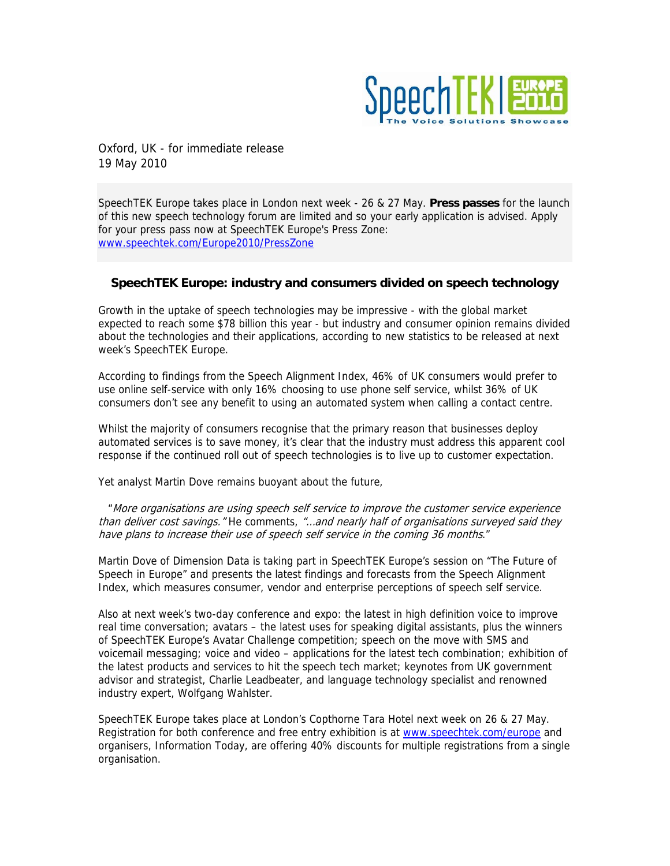

Oxford, UK - for immediate release 19 May 2010

SpeechTEK Europe takes place in London next week - 26 & 27 May. **Press passes** for the launch of this new speech technology forum are limited and so your early application is advised. Apply for your press pass now at SpeechTEK Europe's Press Zone: [www.speechtek.com/Europe2010/PressZone](http://www.speechtek.com/Europe2010/PressZone)

# **SpeechTEK Europe: industry and consumers divided on speech technology**

Growth in the uptake of speech technologies may be impressive - with the global market expected to reach some \$78 billion this year - but industry and consumer opinion remains divided about the technologies and their applications, according to new statistics to be released at next week's SpeechTEK Europe.

According to findings from the Speech Alignment Index, 46% of UK consumers would prefer to use online self-service with only 16% choosing to use phone self service, whilst 36% of UK consumers don't see any benefit to using an automated system when calling a contact centre.

Whilst the majority of consumers recognise that the primary reason that businesses deploy automated services is to save money, it's clear that the industry must address this apparent cool response if the continued roll out of speech technologies is to live up to customer expectation.

Yet analyst Martin Dove remains buoyant about the future,

"More organisations are using speech self service to improve the customer service experience than deliver cost savings." He comments, "...and nearly half of organisations surveyed said they have plans to increase their use of speech self service in the coming 36 months."

Martin Dove of Dimension Data is taking part in SpeechTEK Europe's session on "The Future of Speech in Europe" and presents the latest findings and forecasts from the Speech Alignment Index, which measures consumer, vendor and enterprise perceptions of speech self service.

Also at next week's two-day conference and expo: the latest in high definition voice to improve real time conversation; avatars – the latest uses for speaking digital assistants, plus the winners of SpeechTEK Europe's Avatar Challenge competition; speech on the move with SMS and voicemail messaging; voice and video – applications for the latest tech combination; exhibition of the latest products and services to hit the speech tech market; keynotes from UK government advisor and strategist, Charlie Leadbeater, and language technology specialist and renowned industry expert, Wolfgang Wahlster.

SpeechTEK Europe takes place at London's Copthorne Tara Hotel next week on 26 & 27 May. Registration for both conference and free entry exhibition is at [www.speechtek.com/europe](http://www.speechtek.com/europe) and organisers, Information Today, are offering 40% discounts for multiple registrations from a single organisation.